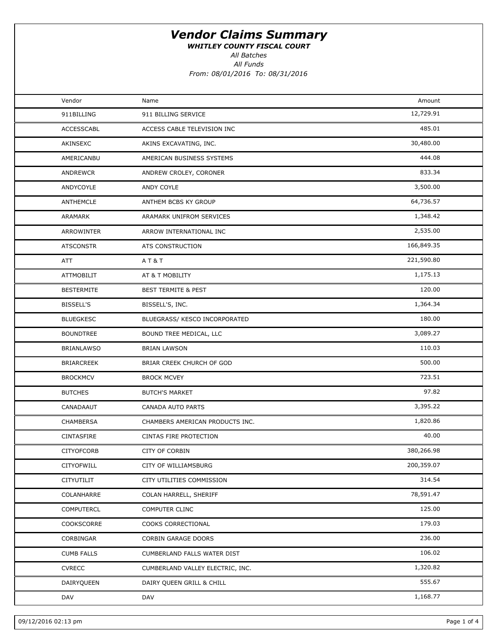WHITLEY COUNTY FISCAL COURT

All Batches

All Funds

| Vendor            | Name                             | Amount     |  |
|-------------------|----------------------------------|------------|--|
| 911BILLING        | 911 BILLING SERVICE              | 12,729.91  |  |
| <b>ACCESSCABL</b> | ACCESS CABLE TELEVISION INC      | 485.01     |  |
| AKINSEXC          | AKINS EXCAVATING, INC.           | 30,480.00  |  |
| AMERICANBU        | AMERICAN BUSINESS SYSTEMS        | 444.08     |  |
| ANDREWCR          | ANDREW CROLEY, CORONER           | 833.34     |  |
| ANDYCOYLE         | ANDY COYLE                       | 3,500.00   |  |
| ANTHEMCLE         | ANTHEM BCBS KY GROUP             | 64,736.57  |  |
| ARAMARK           | ARAMARK UNIFROM SERVICES         | 1,348.42   |  |
| ARROWINTER        | ARROW INTERNATIONAL INC          | 2,535.00   |  |
| <b>ATSCONSTR</b>  | ATS CONSTRUCTION                 | 166,849.35 |  |
| ATT               | A T & T                          | 221,590.80 |  |
| <b>ATTMOBILIT</b> | AT & T MOBILITY                  | 1,175.13   |  |
| <b>BESTERMITE</b> | <b>BEST TERMITE &amp; PEST</b>   | 120.00     |  |
| BISSELL'S         | BISSELL'S, INC.                  | 1,364.34   |  |
| <b>BLUEGKESC</b>  | BLUEGRASS/ KESCO INCORPORATED    | 180.00     |  |
| <b>BOUNDTREE</b>  | BOUND TREE MEDICAL, LLC          | 3,089.27   |  |
| <b>BRIANLAWSO</b> | <b>BRIAN LAWSON</b>              | 110.03     |  |
| <b>BRIARCREEK</b> | BRIAR CREEK CHURCH OF GOD        | 500.00     |  |
| <b>BROCKMCV</b>   | <b>BROCK MCVEY</b>               | 723.51     |  |
| <b>BUTCHES</b>    | <b>BUTCH'S MARKET</b>            | 97.82      |  |
| CANADAAUT         | CANADA AUTO PARTS                | 3,395.22   |  |
| <b>CHAMBERSA</b>  | CHAMBERS AMERICAN PRODUCTS INC.  | 1,820.86   |  |
| CINTASFIRE        | CINTAS FIRE PROTECTION           | 40.00      |  |
| <b>CITYOFCORB</b> | <b>CITY OF CORBIN</b>            | 380,266.98 |  |
| CITYOFWILL        | CITY OF WILLIAMSBURG             | 200,359.07 |  |
| CITYUTILIT        | CITY UTILITIES COMMISSION        | 314.54     |  |
| COLANHARRE        | COLAN HARRELL, SHERIFF           | 78,591.47  |  |
| <b>COMPUTERCL</b> | COMPUTER CLINC                   | 125.00     |  |
| COOKSCORRE        | COOKS CORRECTIONAL               | 179.03     |  |
| CORBINGAR         | CORBIN GARAGE DOORS              | 236.00     |  |
| <b>CUMB FALLS</b> | CUMBERLAND FALLS WATER DIST      | 106.02     |  |
| <b>CVRECC</b>     | CUMBERLAND VALLEY ELECTRIC, INC. | 1,320.82   |  |
| DAIRYQUEEN        | DAIRY QUEEN GRILL & CHILL        | 555.67     |  |
| DAV               | DAV                              | 1,168.77   |  |
|                   |                                  |            |  |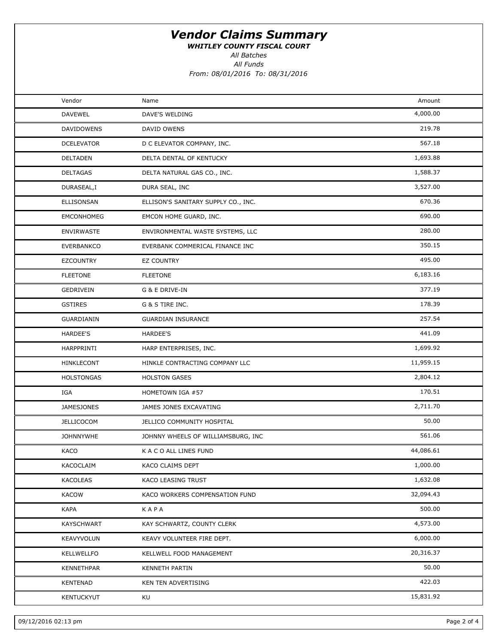WHITLEY COUNTY FISCAL COURT

All Batches

All Funds

| Vendor            | Name                                | Amount    |  |
|-------------------|-------------------------------------|-----------|--|
| <b>DAVEWEL</b>    | DAVE'S WELDING                      | 4,000.00  |  |
| <b>DAVIDOWENS</b> | DAVID OWENS                         | 219.78    |  |
| <b>DCELEVATOR</b> | D C ELEVATOR COMPANY, INC.          | 567.18    |  |
| <b>DELTADEN</b>   | DELTA DENTAL OF KENTUCKY            | 1,693.88  |  |
| <b>DELTAGAS</b>   | DELTA NATURAL GAS CO., INC.         | 1,588.37  |  |
| DURASEAL,I        | DURA SEAL, INC                      | 3,527.00  |  |
| ELLISONSAN        | ELLISON'S SANITARY SUPPLY CO., INC. | 670.36    |  |
| EMCONHOMEG        | EMCON HOME GUARD, INC.              | 690.00    |  |
| <b>ENVIRWASTE</b> | ENVIRONMENTAL WASTE SYSTEMS, LLC    | 280.00    |  |
| EVERBANKCO        | EVERBANK COMMERICAL FINANCE INC     | 350.15    |  |
| <b>EZCOUNTRY</b>  | <b>EZ COUNTRY</b>                   | 495.00    |  |
| <b>FLEETONE</b>   | <b>FLEETONE</b>                     | 6,183.16  |  |
| GEDRIVEIN         | G & E DRIVE-IN                      | 377.19    |  |
| <b>GSTIRES</b>    | G & S TIRE INC.                     | 178.39    |  |
| GUARDIANIN        | <b>GUARDIAN INSURANCE</b>           | 257.54    |  |
| <b>HARDEE'S</b>   | HARDEE'S                            | 441.09    |  |
| HARPPRINTI        | HARP ENTERPRISES, INC.              | 1,699.92  |  |
| HINKLECONT        | HINKLE CONTRACTING COMPANY LLC      | 11,959.15 |  |
| <b>HOLSTONGAS</b> | <b>HOLSTON GASES</b>                | 2,804.12  |  |
| IGA               | HOMETOWN IGA #57                    | 170.51    |  |
| <b>JAMESJONES</b> | JAMES JONES EXCAVATING              | 2,711.70  |  |
| <b>JELLICOCOM</b> | JELLICO COMMUNITY HOSPITAL          | 50.00     |  |
| <b>JOHNNYWHE</b>  | JOHNNY WHEELS OF WILLIAMSBURG, INC  | 561.06    |  |
| KACO              | K A C O ALL LINES FUND              | 44,086.61 |  |
| KACOCLAIM         | KACO CLAIMS DEPT                    | 1,000.00  |  |
| KACOLEAS          | KACO LEASING TRUST                  | 1,632.08  |  |
| <b>KACOW</b>      | KACO WORKERS COMPENSATION FUND      | 32,094.43 |  |
| <b>KAPA</b>       | KAPA                                | 500.00    |  |
| KAYSCHWART        | KAY SCHWARTZ, COUNTY CLERK          | 4,573.00  |  |
| KEAVYVOLUN        | KEAVY VOLUNTEER FIRE DEPT.          | 6,000.00  |  |
| KELLWELLFO        | KELLWELL FOOD MANAGEMENT            | 20,316.37 |  |
| <b>KENNETHPAR</b> | KENNETH PARTIN                      | 50.00     |  |
| <b>KENTENAD</b>   | KEN TEN ADVERTISING                 | 422.03    |  |
| KENTUCKYUT        | KU                                  | 15,831.92 |  |
|                   |                                     |           |  |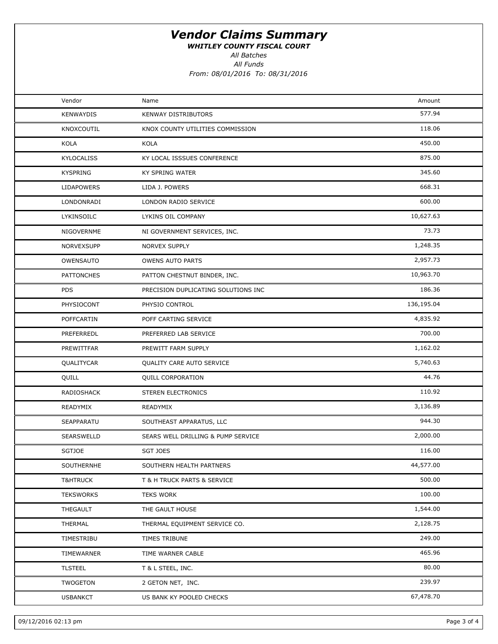WHITLEY COUNTY FISCAL COURT

All Batches

All Funds

| Vendor              | Name                                | Amount     |  |
|---------------------|-------------------------------------|------------|--|
| <b>KENWAYDIS</b>    | KENWAY DISTRIBUTORS                 | 577.94     |  |
| KNOXCOUTIL          | KNOX COUNTY UTILITIES COMMISSION    | 118.06     |  |
| KOLA                | KOLA                                | 450.00     |  |
| KYLOCALISS          | KY LOCAL ISSSUES CONFERENCE         | 875.00     |  |
| <b>KYSPRING</b>     | <b>KY SPRING WATER</b>              | 345.60     |  |
| LIDAPOWERS          | LIDA J. POWERS                      | 668.31     |  |
| LONDONRADI          | LONDON RADIO SERVICE                | 600.00     |  |
| LYKINSOILC          | LYKINS OIL COMPANY                  | 10,627.63  |  |
| NIGOVERNME          | NI GOVERNMENT SERVICES, INC.        | 73.73      |  |
| NORVEXSUPP          | NORVEX SUPPLY                       | 1,248.35   |  |
| OWENSAUTO           | <b>OWENS AUTO PARTS</b>             | 2,957.73   |  |
| <b>PATTONCHES</b>   | PATTON CHESTNUT BINDER, INC.        | 10,963.70  |  |
| <b>PDS</b>          | PRECISION DUPLICATING SOLUTIONS INC | 186.36     |  |
| PHYSIOCONT          | PHYSIO CONTROL                      | 136,195.04 |  |
| <b>POFFCARTIN</b>   | POFF CARTING SERVICE                | 4,835.92   |  |
| PREFERREDL          | PREFERRED LAB SERVICE               | 700.00     |  |
| PREWITTFAR          | PREWITT FARM SUPPLY                 | 1,162.02   |  |
| QUALITYCAR          | QUALITY CARE AUTO SERVICE           | 5,740.63   |  |
| QUILL               | <b>QUILL CORPORATION</b>            | 44.76      |  |
| RADIOSHACK          | STEREN ELECTRONICS                  | 110.92     |  |
| READYMIX            | READYMIX                            | 3,136.89   |  |
| SEAPPARATU          | SOUTHEAST APPARATUS, LLC            | 944.30     |  |
| SEARSWELLD          | SEARS WELL DRILLING & PUMP SERVICE  | 2,000.00   |  |
| <b>SGTJOE</b>       | <b>SGT JOES</b>                     | 116.00     |  |
| SOUTHERNHE          | SOUTHERN HEALTH PARTNERS            | 44,577.00  |  |
| <b>T&amp;HTRUCK</b> | T & H TRUCK PARTS & SERVICE         | 500.00     |  |
| <b>TEKSWORKS</b>    | <b>TEKS WORK</b>                    | 100.00     |  |
| THEGAULT            | THE GAULT HOUSE                     | 1,544.00   |  |
| THERMAL             | THERMAL EQUIPMENT SERVICE CO.       | 2,128.75   |  |
| TIMESTRIBU          | TIMES TRIBUNE                       | 249.00     |  |
| TIMEWARNER          | TIME WARNER CABLE                   | 465.96     |  |
| <b>TLSTEEL</b>      | T & L STEEL, INC.                   | 80.00      |  |
| TWOGETON            | 2 GETON NET, INC.                   | 239.97     |  |
| <b>USBANKCT</b>     | US BANK KY POOLED CHECKS            | 67,478.70  |  |
|                     |                                     |            |  |